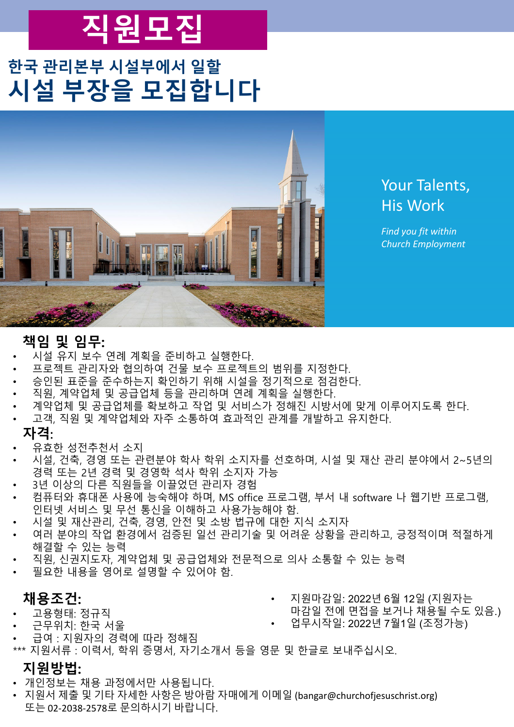# **직원모집**

### **한국 관리본부 시설부에서 일할 시설 부장을 모집합니다**



### Your Talents, His Work

*Find you fit within Church Employment*

### **책임 및 임무:**

- 시설 유지 보수 연례 계획을 준비하고 실행한다.
- 프로젝트 관리자와 협의하여 건물 보수 프로젝트의 범위를 지정한다.
- 승인된 표준을 준수하는지 확인하기 위해 시설을 정기적으로 점검한다.
- 직원, 계약업체 및 공급업체 등을 관리하며 연례 계획을 실행한다.
- 계약업체 및 공급업체를 확보하고 작업 및 서비스가 정해진 시방서에 맞게 이루어지도록 한다.
- 고객, 직원 및 계약업체와 자주 소통하여 효과적인 관계를 개발하고 유지한다.

#### **자격**:

- 유효한 성전추천서 소지
- 시설, 건축, 경영 또는 관련분야 학사 학위 소지자를 선호하며, 시설 및 재산 관리 분야에서 2~5년의 경력 또는 2년 경력 및 경영학 석사 학위 소지자 가능
- 3년 이상의 다른 직원들을 이끌었던 관리자 경험
- 컴퓨터와 휴대폰 사용에 능숙해야 하며, MS office 프로그램, 부서 내 software 나 웹기반 프로그램, 인터넷 서비스 및 무선 통신을 이해하고 사용가능해야 함.
- 시설 및 재산관리, 건축, 경영, 안전 및 소방 법규에 대한 지식 소지자
- 여러 분야의 작업 환경에서 검증된 일선 관리기술 및 어려운 상황을 관리하고, 긍정적이며 적절하게 해결할 수 있는 능력
- 직원, 신권지도자, 계약업체 및 공급업체와 전문적으로 의사 소통할 수 있는 능력
- 필요한 내용을 영어로 설명할 수 있어야 함.

### **채용조건:**

- 고용형태: 정규직
- 근무위치: 한국 서울
- 급여 : 지원자의 경력에 따라 정해짐
- 지원마감일: 2022년 6월 12일 (지원자는
	- 마감일 전에 면접을 보거나 채용될 수도 있음.)
	- 업무시작일: 2022년 7월1일 (조정가능)
- \*\*\* 지원서류 : 이력서, 학위 증명서, 자기소개서 등을 영문 및 한글로 보내주십시오.

### **지원방법:**

- 개인정보는 채용 과정에서만 사용됩니다.
- 지원서 제출 및 기타 자세한 사항은 방아람 자매에게 이메일 (bangar@churchofjesuschrist.org) 또는 02-2038-2578로 문의하시기 바랍니다.